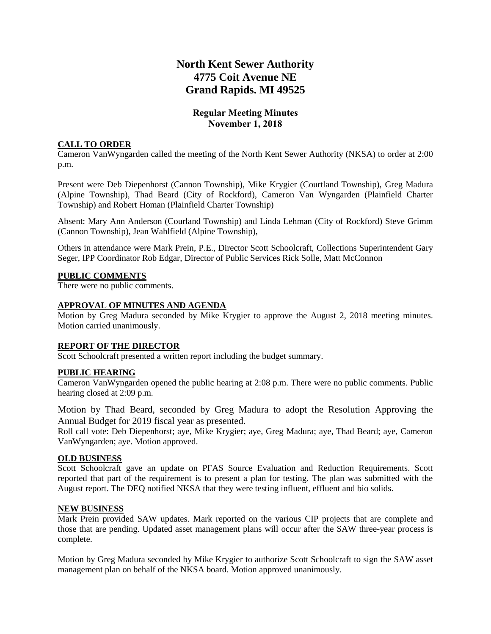# **North Kent Sewer Authority 4775 Coit Avenue NE Grand Rapids. MI 49525**

# **Regular Meeting Minutes November 1, 2018**

## **CALL TO ORDER**

Cameron VanWyngarden called the meeting of the North Kent Sewer Authority (NKSA) to order at 2:00 p.m.

Present were Deb Diepenhorst (Cannon Township), Mike Krygier (Courtland Township), Greg Madura (Alpine Township), Thad Beard (City of Rockford), Cameron Van Wyngarden (Plainfield Charter Township) and Robert Homan (Plainfield Charter Township)

Absent: Mary Ann Anderson (Courland Township) and Linda Lehman (City of Rockford) Steve Grimm (Cannon Township), Jean Wahlfield (Alpine Township),

Others in attendance were Mark Prein, P.E., Director Scott Schoolcraft, Collections Superintendent Gary Seger, IPP Coordinator Rob Edgar, Director of Public Services Rick Solle, Matt McConnon

### **PUBLIC COMMENTS**

There were no public comments.

#### **APPROVAL OF MINUTES AND AGENDA**

Motion by Greg Madura seconded by Mike Krygier to approve the August 2, 2018 meeting minutes. Motion carried unanimously.

### **REPORT OF THE DIRECTOR**

Scott Schoolcraft presented a written report including the budget summary.

### **PUBLIC HEARING**

Cameron VanWyngarden opened the public hearing at 2:08 p.m. There were no public comments. Public hearing closed at 2:09 p.m.

Motion by Thad Beard, seconded by Greg Madura to adopt the Resolution Approving the Annual Budget for 2019 fiscal year as presented.

Roll call vote: Deb Diepenhorst; aye, Mike Krygier; aye, Greg Madura; aye, Thad Beard; aye, Cameron VanWyngarden; aye. Motion approved.

#### **OLD BUSINESS**

Scott Schoolcraft gave an update on PFAS Source Evaluation and Reduction Requirements. Scott reported that part of the requirement is to present a plan for testing. The plan was submitted with the August report. The DEQ notified NKSA that they were testing influent, effluent and bio solids.

#### **NEW BUSINESS**

Mark Prein provided SAW updates. Mark reported on the various CIP projects that are complete and those that are pending. Updated asset management plans will occur after the SAW three-year process is complete.

Motion by Greg Madura seconded by Mike Krygier to authorize Scott Schoolcraft to sign the SAW asset management plan on behalf of the NKSA board. Motion approved unanimously.